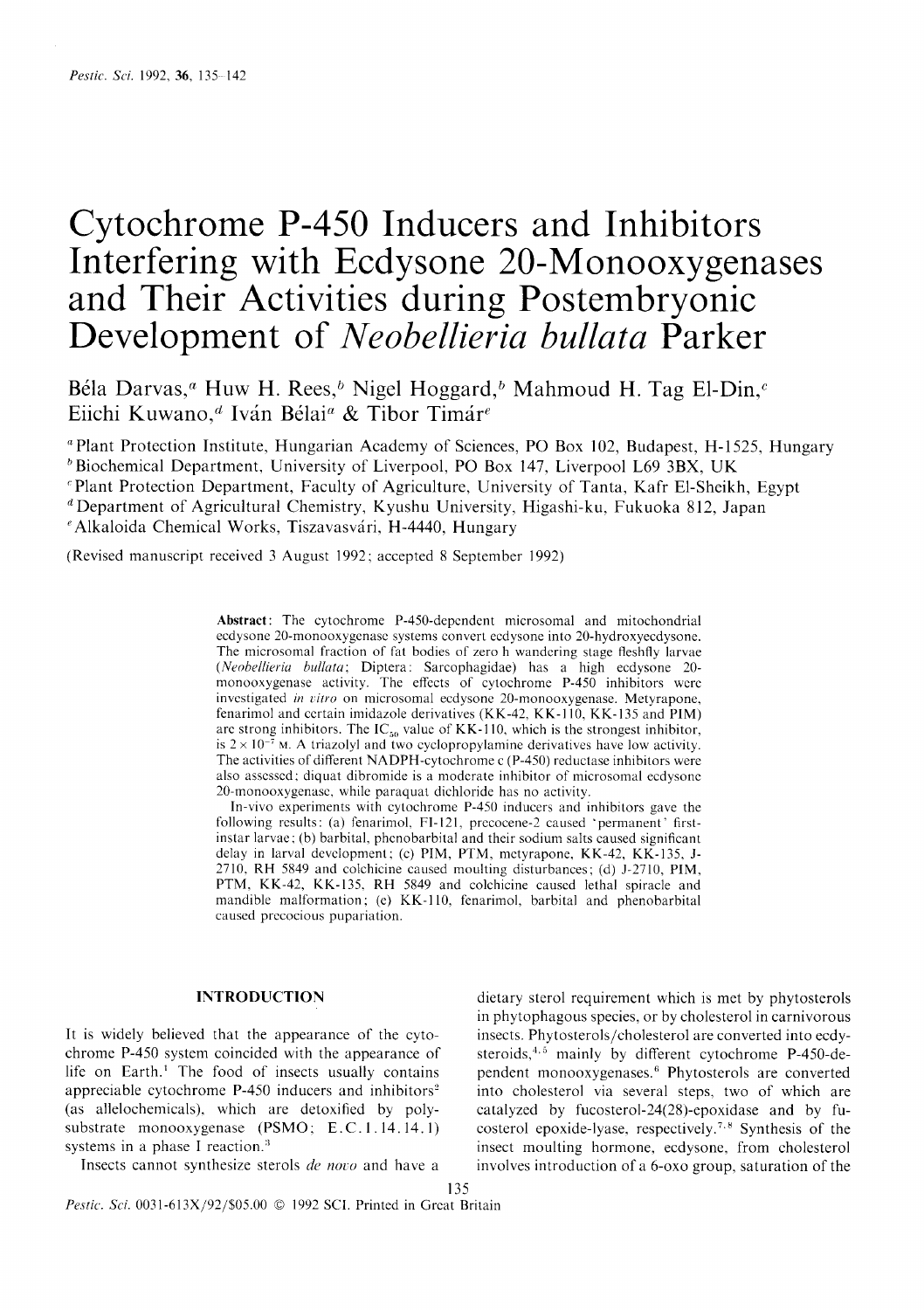# Cytochrome P-450 Inducers and Inhibitors Interfering with Ecdysone 20-Monooxygenases and Their Activities during Postembryonic Development of *Neobellieria bullata* Parker

Béla Darvas,<sup>*a*</sup> Huw H. Rees,<sup>b</sup> Nigel Hoggard,<sup>b</sup> Mahmoud H. Tag El-Din,<sup> $c$ </sup> Eiichi Kuwano,<sup>*d*</sup> Iván Bélai<sup>*a*</sup> & Tibor Timár<sup>e</sup>

<sup>a</sup> Plant Protection Institute, Hungarian Academy of Sciences, PO Box 102, Budapest, H-1525, Hungary

 $b$ Biochemical Department, University of Liverpool, PO Box 147, Liverpool L69 3BX, UK "Plant Protection Department, Faculty of Agriculture, University of Tanta, Kafr El-Sheikh, Egypt

d Department of Agricultural Chemistry, Kyushu University, Higashi-ku, Fukuoka 812, Japan

<sup>e</sup> Alkaloida Chemical Works, Tiszavasvári, H-4440, Hungary

(Revised manuscript received 3 August 1992; accepted 8 September 1992)

Abstract: The cytochrome P-450-depcndent microsomal and mitochondrial ecdysone 20-monooxygcnasc systems convert ecdysone into 20-hydroxyecdysone. The microsomal fraction of fat bodies of zero h wandering stage fleshfly larvae (Neobellieria bullata; Diptera: Sarcophagidae) has a high ecdysone 20monooxygenase activity. The effects of cytochrome P-450 inhibitors were investigated in vitro on microsomal ecdysone 20-monooxygenase. Metyrapone, fenarimol and ccrtain imidazole derivatives (KK-42, KK-l10, KK-135 and PIM) arc strong inhibitors. The  $IC_{50}$  value of KK-110, which is the strongest inhibitor, is  $2 \times 10^{-7}$  M. A triazolyl and two cyclopropylamine derivatives have low activity. The activities of different NADPH-cytochrome c (P-450) reductase inhibitors were also asscsscd; diquat dibromide is a modcrate inhibitor of microsomal ecdysonc 20-monooxygenasc, while paraquat dichloride has no activity.

In-vivo experiments with cytochrome P-450 inducers and inhibitors gave the following results: (a) fenarimol, FI-121, precocene-2 caused 'permanent' firstinstar larvae; (b) barbital, phcnobarbital and their sodium salts caused significant delay in larval devclopment; (c) PIM, PTM, mctyrapone, KK-42, KK-135, J-2710. RH 5849 and colchicine caused moulting disturbances; (d) J-2710, PIM, PTM, KK-42, KK-135. RH 5849 and colchicine causcd lethal spiracle and mandible malformation; (e) KK-110, fenarimol, barbital and phenobarbital caused precocious pupariation.

## INTRODUCTION

It is widely believed that the appearance of the cytochrome P-450 system coincided with the appearance of life on Earth.' The food of insects usually contains appreciable cytochrome  $P-450$  inducers and inhibitors<sup>2</sup> (as allelochemicals). which are detoxified by polysubstrate monooxygenase (PSMO; E.C.1.14.14.1) systems in a phase I reaction.<sup>3</sup>

Insects cannot synthesize sterols de novo and have a

dietary sterol requirement which is met by phytosterols in phytophagous species, or by cholesterol in carnivorous insects. Phytosterols/cholesterol are converted into ecdysteroids, $4.5$  mainly by different cytochrome P-450-dependent monooxygenases.6 Phytosterols are converted into cholesterol via several steps, two of which are catalyzed by fucosterol-24(28)-epoxidase and by fucosterol epoxide-lyase, respectively.<sup>7.8</sup> Synthesis of the insect moulting hormone, ecdysone, from cholesterol involves introduction of a 6-oxo group, saturation of the

Pestic. Sci. 0031-613X/92/\$05.00 © 1992 SCI. Printed in Great Britain

135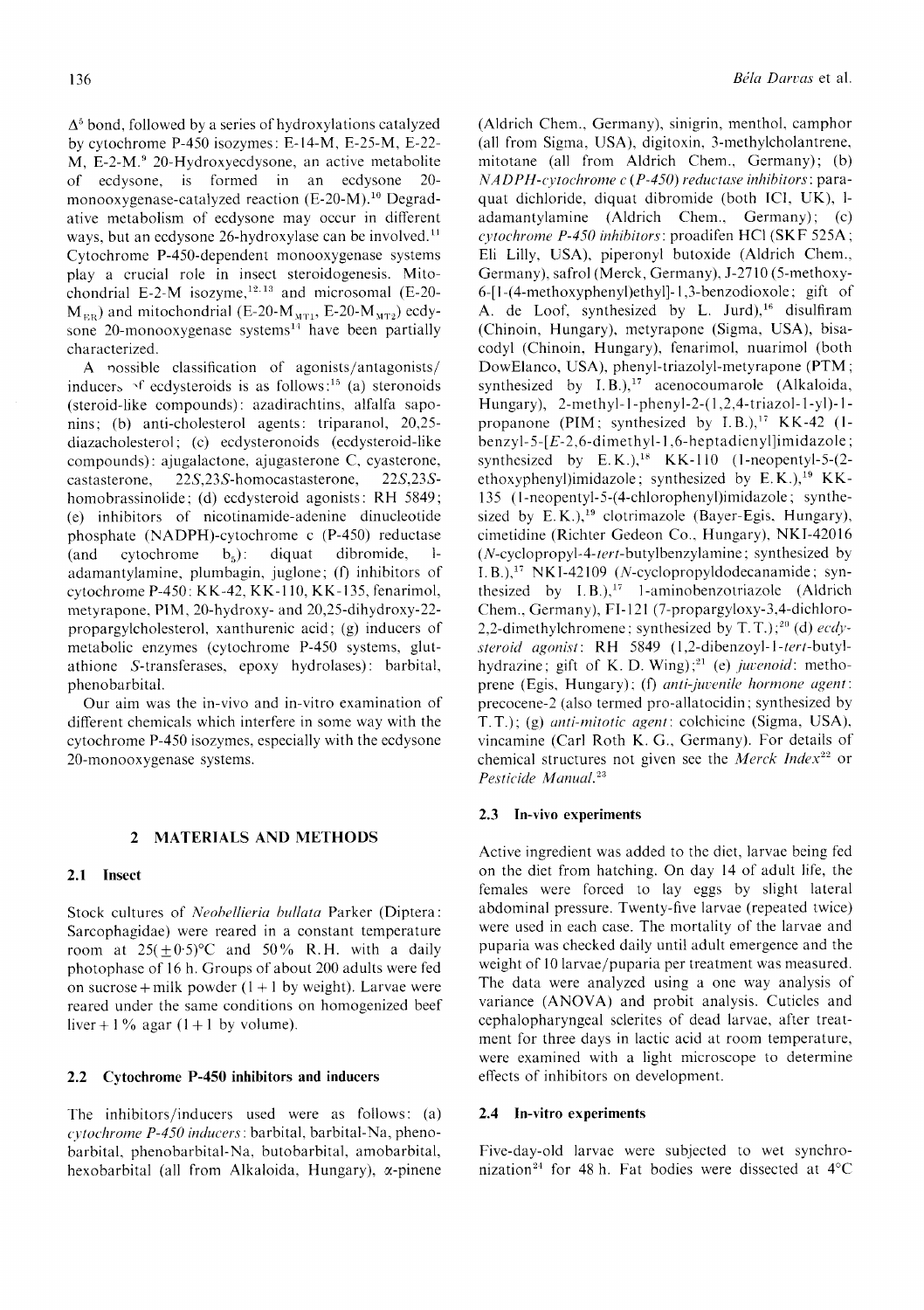$\Delta^5$  bond, followed by a series of hydroxylations catalyzed by cytochrome P-450 isozymes: E-14-M. E-25-M, E-22- M, E-2-M.<sup>9</sup> 20-Hydroxyecdysone, an active metabolite of ecdysone, is formed in an ecdysone 20 monooxygenase-catalyzed reaction (E-20-M).<sup>10</sup> Degradative metabolism of ecdysone may occur in different ways, but an ecdysone 26-hydroxylase can be involved.<sup>11</sup> Cytochrome P-450-dependent monooxygenase systems play a crucial role in insect steroidogenesis. Mitochondrial E-2-M isozyme, $12.13$  and microsomal (E-20- $M_{\text{ER}}$ ) and mitochondrial (E-20- $M_{\text{MT1}}$ , E-20- $M_{\text{MT2}}$ ) ecdysone 20-monooxygenase systems $^{14}$  have been partially characterized.

A possible classification of agonists/antagonists/ inducers  $\gamma$ f ecdysteroids is as follows:<sup>15</sup> (a) steronoids (steroid-like compounds): azadirachtins, alfalfa saponins; (b) anti-cholesterol agents: triparanol, 20,25diazacholesterol; (c) ecdysteronoids (ecdysteroid-like compounds): ajugalactone, ajugasterone C, cyasterone, castasterone, 225,235-homocastasterone, 225,235 homobrassinolide; (d) ecdysteroid agonists: RH 5849; (e) inhibitors of nicotinamide-adenine dinucleotide phosphate (NADPH)-cytochrome c (P-450) reductase (and cytochrome  $b_5$ ): diquat dibromide, ladamantylamine, plumbagin, juglone; (f) inhibitors of cytochrome P-450: KK-42, KK-110, KK-135, fenarimol, metyrapone. PIM, 20-hydroxy- and 20,25-dihydroxy-22 propargylcholesterol. xanthurenic acid; (g) inducers of metabolic enzymes (cytochrome P-450 systems, glutathione S-transferases, epoxy hydrolases): barbital, phenobarbitai.

Our aim was the in-vivo and in-vitro examination of different chemicals which interfere in some way with the cytochrome P-450 isozymes, especially with the ecdysone 20-monooxygenase systems.

#### 2 MATERIALS AND METHODS

# 2.1 Insect

Stock cultures of Neobellieria bullata Parker (Diptera: Sarcophagidae) were reared in a constant temperature room at  $25(\pm 0.5)$ °C and  $50\%$  R.H. with a daily photophase of 16 h. Groups of about 200 adults were fed on sucrose + milk powder  $(1 + 1)$  by weight). Larvae were reared under the same conditions on homogenized beef liver + 1% agar (1+1 by volume).

# 2.2 Cytochrome P-450 inhibitors and inducers

The inhibitors/inducers used were as follows: (a) cytochrome P-450 inducers: barbital, barbital-Na, phenobarbital, phenobarbital-Na, butobarbital, amobarbital, hexobarbital (all from Alkaloida, Hungary). a-pinene (Aldrich Chem., Germany), sinigrin, menthol, camphor (all from Sigma, USA), digitoxin, 3-methylcholantrene, mitotane (a11 from Aldrich Chem., Germany); (b)  $NADPH$ -cytochrome c (P-450) reductase inhibitors: paraquat dichloride, diquat dibromide (both ICI, UK), ladamantylamine (Aldrich Chem., Germany); (c) cytochrome P-450 inhibitors: proadifen HCl (SKF 525A; Eli Lilly, USA), piperonyl butoxide (Aldrich Chem., Germany), safrol (Merck, Germany), J-2710 (5-methoxy-6-[1-(4-methoxyphenyl)ethyl]-1,3-benzodioxole; gift of A. de Loof, synthesized by L. Jurd),<sup>16</sup> disulfiram (Chinoin, Hungary). metyrapone (Sigma, USA), bisacodyl (Chinoin. Hungary), fenarimol, nuarimol (both DowElanco, USA). phenyl-triazolyl-metyrapone (PTM ; synthesized by I.B.),<sup>17</sup> acenocoumarole (Alkaloida, Hungary), 2-methyl-1-phenyl-2-(1,2,4-triazol-1-yl)-1propanone (PIM; synthesized by I.B.)," KK-42 (lbenzyl-5- $[E-2, 6$ -dimethyl-1,6-heptadienyl]imidazole; synthesized by  $E.K.$ ),<sup>18</sup> KK-110 (1-neopentyl-5-(2ethoxyphenyl)imidazole; synthesized by  $E.K.$ ),<sup>19</sup> KK-135 (l-neopentyl-5-(4-chlorophenyl)imidazole; synthesized by E.K.),<sup>19</sup> clotrimazole (Bayer-Egis. Hungary), cimetidine (Richter Gedeon Co.. Hungary), NKI-42016  $(N$ -cyclopropyl-4-tert-butylbenzylamine; synthesized by I. B.)," NKI-42109 (N-cyclopropyldodecanamide ; synthesized by  $I.B.),<sup>17</sup> 1-aminobenzotriazole$  (Aldrich Chem.. Germany), FI-121 (7-propargyloxy-3,4-dichloro-2,2-dimethylchromene; synthesized by T.T.);<sup>20</sup> (d)  $ecdy$ steroid agonist: RH 5849 (1,2-dibenzoyl-1-tert-butylhydrazine; gift of K. D. Wing);<sup>21</sup> (e) juvenoid: methoprene (Egis, Hungary); (f) anti-juvenile hormone agent: precocene-2 (also termed pro-allatocidin; synthesized by  $T, T$ .); (g) *anti-mitotic agent*: colchicine (Sigma, USA), vincamine (Carl Roth K. G., Germany). For details of chemical structures not given see the Merck Index<sup>22</sup> or Pesticide Manual.<sup>23</sup>

# 2.3 In-vivo experiments

Active ingredient was added to the diet, larvae being fed on the diet from hatching. On day 14 of adult life, the females were forced to lay eggs by slight lateral abdominal pressure. Twenty-five larvae (repeated twice) were used in each case. The mortality of the larvae and puparia was checked daily until adult emergence and the weight of l0larvae/puparia per treatment was measured. The data were analyzed using a one way analysis of variance (ANOVA) and probit analysis. Cuticles and cephalopharyngeal sclerites of dead larvae, after treatment for three days in lactic acid at room temperature, were examined with a light microscope to determine effects of inhibitors on development.

### 2.4 In-vitro experiments

Five-day-old larvae were subjected to wet synchronization<sup>24</sup> for 48 h. Fat bodies were dissected at  $4^{\circ}$ C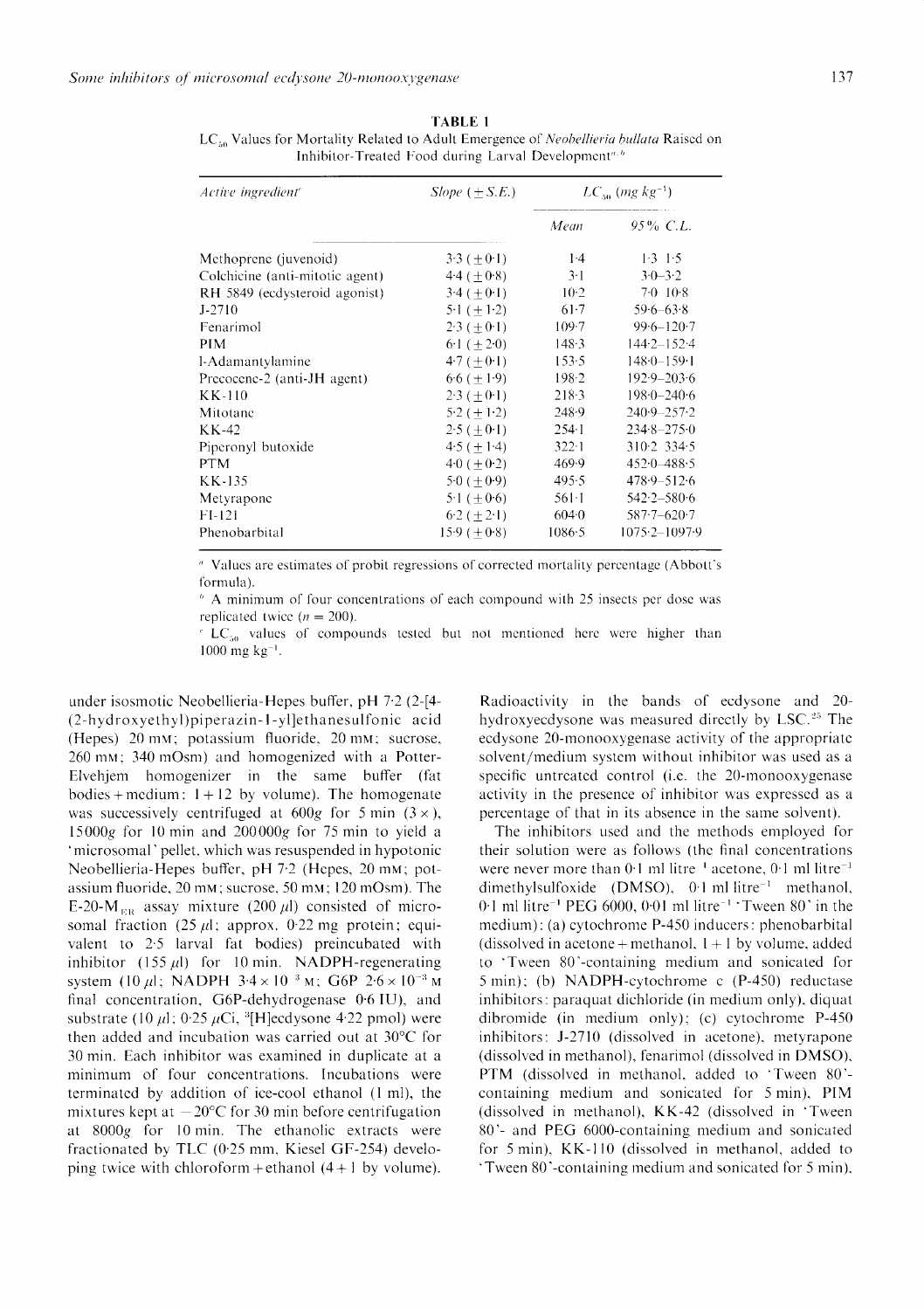| Active ingredient <sup>e</sup>  | $Slope$ (+S.E.)  | $LC_{50}$ (mg $kg^{-1}$ ) |                     |
|---------------------------------|------------------|---------------------------|---------------------|
|                                 |                  | Mean                      | $95\%$ C.L.         |
| Methoprene (juvenoid)           | $3.3 (+0.1)$     | $1-4$                     | $1.3 \t1.5$         |
| Colchicine (anti-mitotic agent) | $4.4 (+0.8)$     | $3-1$                     | $3.0 - 3.2$         |
| RH 5849 (ecdysteroid agonist)   | $3.4 (+0.1)$     | $10-2$                    | 7.0 10.8            |
| $J - 2710$                      | $5.1 (+ 1.2)$    | $61-7$                    | $59.6 - 63.8$       |
| Fenarimol                       | $2.3 (+0.1)$     | 109.7                     | $99.6 - 120.7$      |
| <b>PIM</b>                      | $6.1 (+ 2.0)$    | 148.3                     | $144.2 - 152.4$     |
| l-Adamantylamine                | $4.7 (+0.1)$     | 153.5                     | $148.0 - 159.1$     |
| Precocene-2 (anti-JH agent)     | $6.6 (+ 1.9)$    | 198.2                     | $192.9 - 203.6$     |
| KK-110                          | $2.3 (+0.1)$     | 218.3                     | $198.0 - 240.6$     |
| Mitotane                        | $5.2 (+ 1.2)$    | 248.9                     | $240-9-257-2$       |
| KK-42                           | $2.5 (\pm 0.1)$  | 2541                      | $234.8 - 275.0$     |
| Piperonyl butoxide              | $4.5 (+ 1.4)$    | $322 - 1$                 | $310.2 \cdot 334.5$ |
| <b>PTM</b>                      | $40 (+0.2)$      | 469.9                     | $452.0 - 488.5$     |
| KK-135                          | 5.0 ( $\pm$ 0.9) | 495.5                     | $478.9 - 512.6$     |
| Metyrapone                      | 5.1 $(+0.6)$     | $561-1$                   | $542.2 - 580.6$     |
| $FI-121$                        | $6.2 (+ 2.1)$    | 604.0                     | $587 - 620 - 7$     |
| Phenobarbital                   | $15.9 (+0.8)$    | 1086.5                    | $1075.2 - 1097.9$   |

**TABLE 1** LC<sub>50</sub> Values for Mortality Related to Adult Emergence of Neobellieria bullata Raised on Inhibitor-Treated Food during Larval Development<sup>a, b</sup>

" Values are estimates of probit regressions of corrected mortality percentage (Abbott's formula).

 $\beta$  A minimum of four concentrations of each compound with 25 insects per dose was replicated twice  $(n = 200)$ .

 $^c$  LC<sub>50</sub> values of compounds tested but not mentioned here were higher than  $1000$  mg kg<sup>-1</sup>.

under isosmotic Neobellieria-Hepes buffer, pH 7.2 (2-[4-(2-hydroxyethyl)piperazin-1-yl]ethanesulfonic acid (Hepes) 20 mm; potassium fluoride, 20 mm; sucrose, 260 mm; 340 mOsm) and homogenized with a Potter-Elvehjem homogenizer in the same buffer (fat bodies + medium:  $1 + 12$  by volume). The homogenate was successively centrifuged at  $600g$  for 5 min  $(3 \times)$ , 15000g for 10 min and  $200000g$  for 75 min to yield a 'microsomal' pellet, which was resuspended in hypotonic Neobellieria-Hepes buffer, pH 7.2 (Hepes, 20 mm; potassium fluoride, 20 mm; sucrose, 50 mm; 120 mOsm). The E-20-M<sub>ER</sub> assay mixture (200  $\mu$ l) consisted of microsomal fraction  $(25 \mu l)$ ; approx. 0.22 mg protein; equivalent to 2.5 larval fat bodies) preincubated with inhibitor (155  $\mu$ l) for 10 min. NADPH-regenerating system (10  $\mu$ l; NADPH 3.4 × 10<sup>-3</sup> M; G6P 2.6 × 10<sup>-3</sup> M final concentration, G6P-dehydrogenase 0.6 IU), and substrate (10  $\mu$ 1; 0.25  $\mu$ Ci, <sup>3</sup>[H]ecdysone 4.22 pmol) were then added and incubation was carried out at 30°C for 30 min. Each inhibitor was examined in duplicate at a minimum of four concentrations. Incubations were terminated by addition of ice-cool ethanol (1 ml), the mixtures kept at  $-20$ °C for 30 min before centrifugation at 8000g for 10 min. The ethanolic extracts were fractionated by TLC (0.25 mm, Kiesel GF-254) developing twice with chloroform + ethanol  $(4+1)$  by volume).

Radioactivity in the bands of ecdysone and 20hydroxyecdysone was measured directly by LSC.<sup>25</sup> The ecdysone 20-monooxygenase activity of the appropriate solvent/medium system without inhibitor was used as a specific untreated control (i.e. the 20-monooxygenase activity in the presence of inhibitor was expressed as a percentage of that in its absence in the same solvent).

The inhibitors used and the methods employed for their solution were as follows (the final concentrations were never more than  $0.1$  ml litre<sup> $-1$ </sup> acetone,  $0.1$  ml litre<sup> $-1$ </sup> dimethylsulfoxide (DMSO),  $0.1$  ml litre<sup>-1</sup> methanol, 0.1 ml litre<sup>-1</sup> PEG 6000, 0.01 ml litre<sup>-1</sup> 'Tween 80' in the medium): (a) cytochrome P-450 inducers: phenobarbital (dissolved in acetone + methanol,  $1+1$  by volume, added to 'Tween 80'-containing medium and sonicated for 5 min); (b) NADPH-cytochrome c (P-450) reductase inhibitors: paraquat dichloride (in medium only), diquat dibromide (in medium only); (c) cytochrome  $P-450$ inhibitors: J-2710 (dissolved in acetone), metyrapone (dissolved in methanol), fenarimol (dissolved in DMSO), PTM (dissolved in methanol, added to 'Tween 80'containing medium and sonicated for 5 min), PIM (dissolved in methanol), KK-42 (dissolved in 'Tween 80'- and PEG 6000-containing medium and sonicated for 5 min), KK-110 (dissolved in methanol, added to Tween 80'-containing medium and sonicated for 5 min),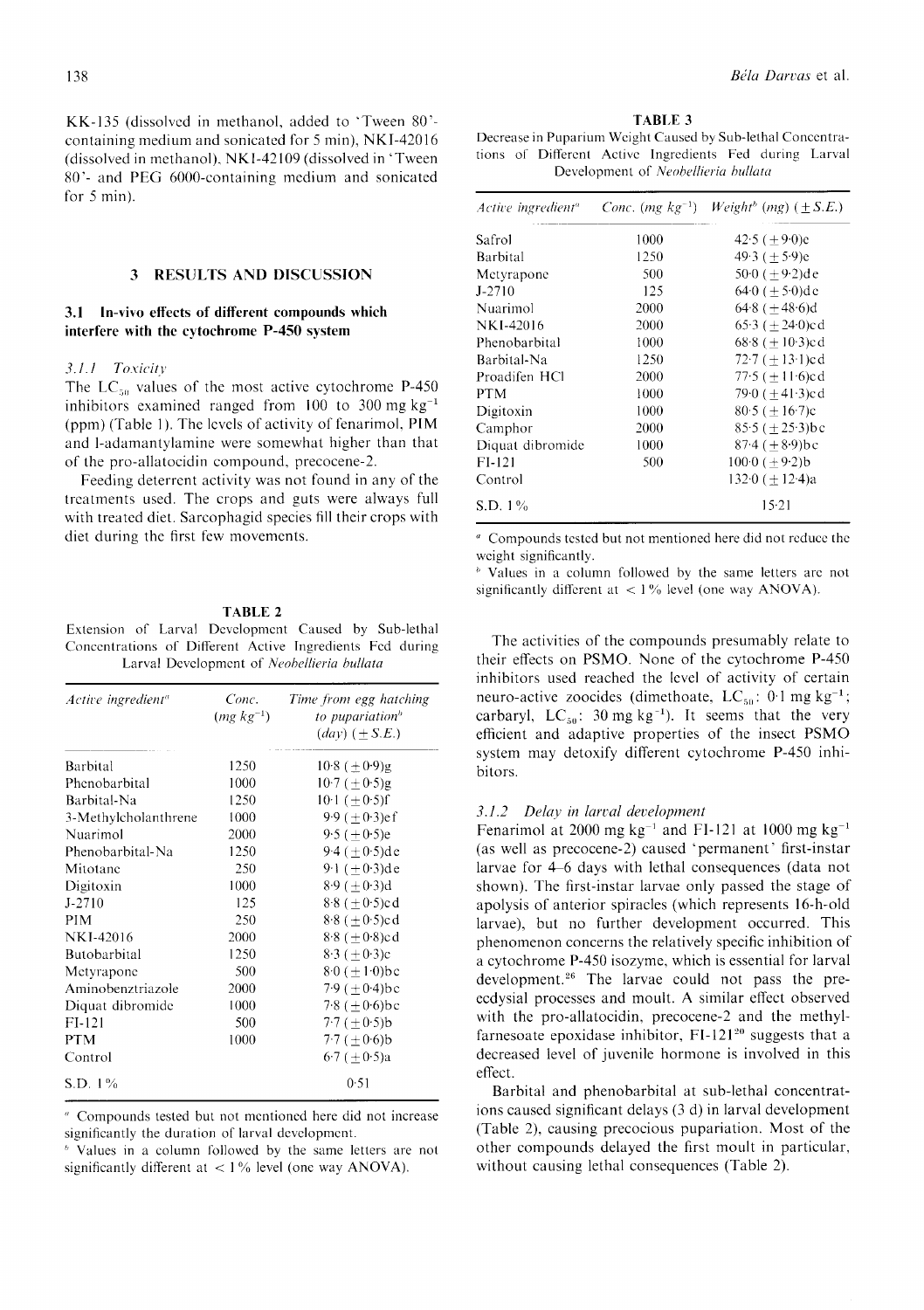KK-135 (dissolved in methanol, added to 'Tween 80'containing medium and sonicated for 5 min), NKI-42016 (dissolved in methanol), NK1-42109 (dissolved in 'Tween 80'- and PEG 6000-containing medium and sonicated for  $5$  min).

#### **RESULTS AND DISCUSSION**  $3<sup>1</sup>$

# 3.1 In-vivo effects of different compounds which interfere with the cytochrome P-450 system

#### 3.1.1 Toxicity

The LC<sub>50</sub> values of the most active cytochrome P-450 inhibitors examined ranged from  $100$  to  $300 \text{ mg kg}^{-1}$ (ppm) (Table 1). The levels of activity of fenarimol, PIM and l-adamantylamine were somewhat higher than that of the pro-allatocidin compound, precocene-2.

Feeding deterrent activity was not found in any of the treatments used. The crops and guts were always full with treated diet. Sarcophagid species fill their crops with diet during the first few movements.

#### **TABLE 2**

Extension of Larval Development Caused by Sub-lethal Concentrations of Different Active Ingredients Fed during Larval Development of Neobellieria bullata

| Active ingredient <sup>«</sup> | Conc.<br>$(mg \; kg^{-1})$ | Time from egg hatching<br>to pupariation <sup>b</sup><br>$\left( \frac{day}{} \right)$ ( + S.E.) |
|--------------------------------|----------------------------|--------------------------------------------------------------------------------------------------|
| Barbital                       | 1250                       | $10.8 (\pm 0.9)$ g                                                                               |
| Phenobarbital                  | 1000                       | $10.7 \ (\pm 0.5)$ g                                                                             |
| Barbital-Na                    | 1250                       | $10 \cdot 1 (+0.5)$ f                                                                            |
| 3-Methylcholanthrene           | 1000                       | $9.9 (+ 0.3)$ ef                                                                                 |
| Nuarimol                       | 2000                       | $9.5 (+0.5)e$                                                                                    |
| Phenobarbital-Na               | 1250                       | $9.4 (+0.5)$ de                                                                                  |
| Mitotane                       | 250                        | 9.1 $(\pm 0.3)$ de                                                                               |
| Digitoxin                      | 1000                       | $8.9 \ (\pm 0.3)$ d                                                                              |
| $J - 2710$                     | 125                        | $8.8 (+ 0.5)c d$                                                                                 |
| <b>PIM</b>                     | 250                        | $8.8 (+ 0.5)c$ d                                                                                 |
| <b>NKI-42016</b>               | 2000                       | $8.8 (+ 0.8)c d$                                                                                 |
| Butobarbital                   | 1250                       | $8.3 (+0.3)c$                                                                                    |
| Metyrapone                     | 500                        | $8.0 (+ 1.0)$ bc                                                                                 |
| Aminobenztriazole              | 2000                       | $7.9 (+0.4)bc$                                                                                   |
| Diquat dibromide               | 1000                       | 7.8 ( $\pm$ 0.6)bc                                                                               |
| $FI-121$                       | 500                        | $7.7 (+0.5)b$                                                                                    |
| <b>PTM</b>                     | 1000                       | 7.7 $(\pm 0.6)$ b                                                                                |
| Control                        |                            | $6.7 (\pm 0.5)a$                                                                                 |
| $S.D. 1\%$                     |                            | 0.51                                                                                             |

<sup>a</sup> Compounds tested but not mentioned here did not increase significantly the duration of larval development.

<sup>b</sup> Values in a column followed by the same letters are not significantly different at  $\langle 1\%$  level (one way ANOVA).

**TABLE 3** Decrease in Puparium Weight Caused by Sub-lethal Concentrations of Different Active Ingredients Fed during Larval Development of Neobellieria bullata

| Active ingredient <sup>a</sup> |      | <i>Conc.</i> (mg $kg^{-1}$ ) <i>Weight</i> <sup>b</sup> (mg) (+S.E.) |
|--------------------------------|------|----------------------------------------------------------------------|
| Safrol                         | 1000 | $42.5 (+9.0)e$                                                       |
| Barbital                       | 1250 | $49.3 (+ 5.9)e$                                                      |
| Metyrapone                     | 500  | 50.0 ( $\pm$ 9.2)de                                                  |
| $J-2710$                       | 125  | $640 (+ 50)$ de                                                      |
| Nuarimol                       | 2000 | $64.8 (+48.6)d$                                                      |
| NKI-42016                      | 2000 | 65.3 $(+24.0)c$ d                                                    |
| Phenobarbital                  | 1000 | 68.8 $(\pm 10.3)$ cd                                                 |
| Barbital-Na                    | 1250 | $72.7 (+13.1)c$ d                                                    |
| Proadifen HCl                  | 2000 | $77.5 (+11.6)c$ d                                                    |
| <b>PTM</b>                     | 1000 | 79.0 $(+41.3)$ cd                                                    |
| Digitoxin                      | 1000 | $80.5 (+ 16.7)c$                                                     |
| Camphor                        | 2000 | $85.5 (+25.3)$ bc                                                    |
| Diquat dibromide               | 1000 | $87.4 (+ 8.9)$ bc                                                    |
| $F1-121$                       | 500  | $100 \cdot 0 (+9 \cdot 2) b$                                         |
| Control                        |      | 132 $\cdot$ 0 ( $\pm$ 12 $\cdot$ 4)a                                 |
| $S.D. 1\%$                     |      | $15-21$                                                              |

<sup>a</sup> Compounds tested but not mentioned here did not reduce the weight significantly.

<sup>b</sup> Values in a column followed by the same letters are not significantly different at  $\langle 1\%$  level (one way ANOVA).

The activities of the compounds presumably relate to their effects on PSMO. None of the cytochrome P-450 inhibitors used reached the level of activity of certain neuro-active zoocides (dimethoate, LC<sub>50</sub>:  $0.1 \text{ mg kg}^{-1}$ ; carbaryl, LC<sub>50</sub>: 30 mg kg<sup>-1</sup>). It seems that the very efficient and adaptive properties of the insect PSMO system may detoxify different cytochrome P-450 inhibitors.

#### 3.1.2 Delay in larval development

Fenarimol at 2000 mg  $kg^{-1}$  and FI-121 at 1000 mg  $kg^{-1}$ (as well as precocene-2) caused 'permanent' first-instar larvae for 4–6 days with lethal consequences (data not shown). The first-instar larvae only passed the stage of apolysis of anterior spiracles (which represents 16-h-old larvae), but no further development occurred. This phenomenon concerns the relatively specific inhibition of a cytochrome P-450 isozyme, which is essential for larval development.<sup>26</sup> The larvae could not pass the preecdysial processes and moult. A similar effect observed with the pro-allatocidin, precocene-2 and the methylfarnesoate epoxidase inhibitor, FI-121<sup>20</sup> suggests that a decreased level of juvenile hormone is involved in this effect.

Barbital and phenobarbital at sub-lethal concentrations caused significant delays (3 d) in larval development (Table 2), causing precocious pupariation. Most of the other compounds delayed the first moult in particular, without causing lethal consequences (Table 2).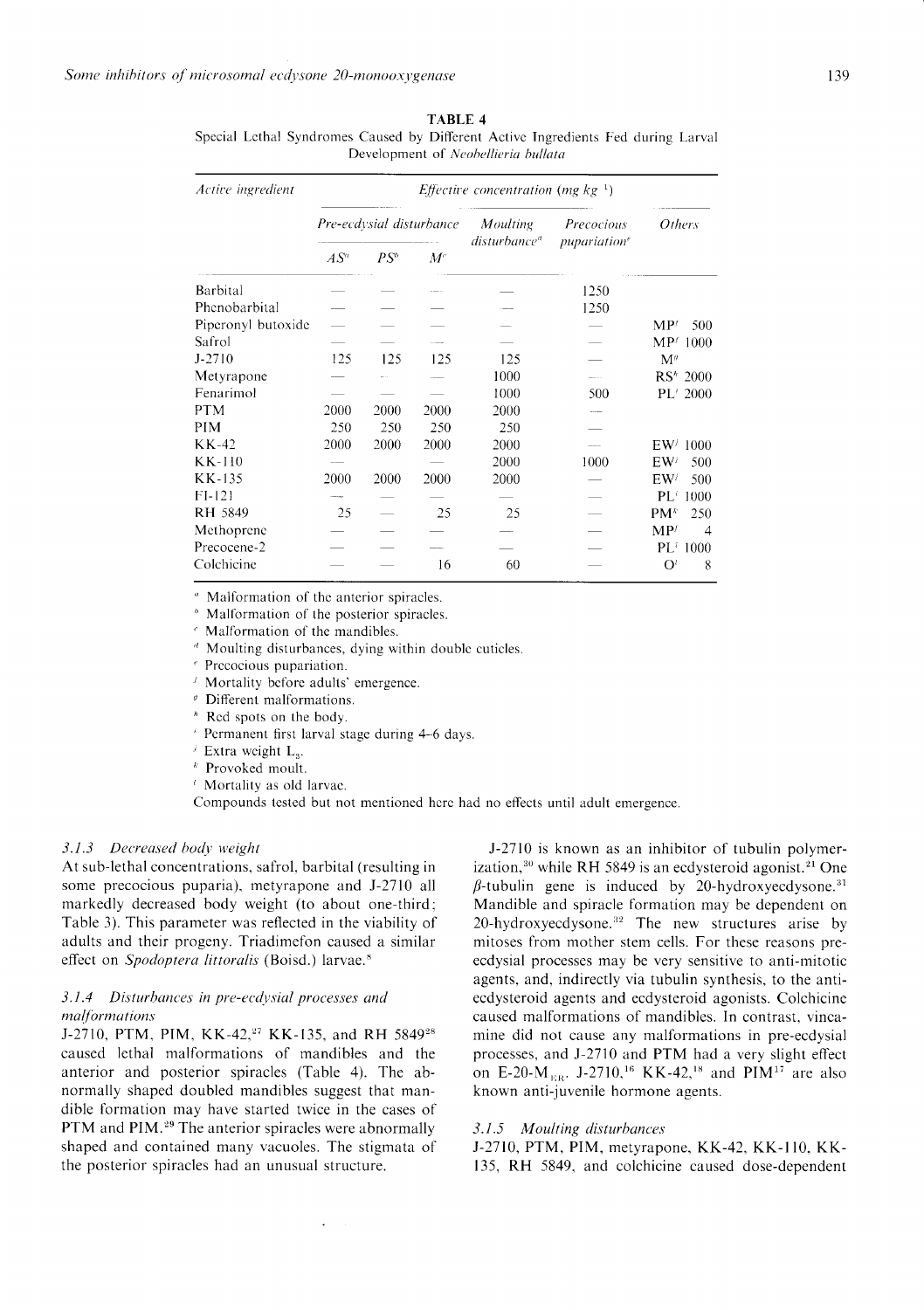**TABLE 4** 

Special Lethal Syndromes Caused by Different Active Ingredients Fed during Larval Development of Neobellieria bullata

| Active ingredient  | <i>Effective concentration</i> ( <i>mg kg</i> <sup>-1</sup> ) |        |                                             |                                              |               |                        |
|--------------------|---------------------------------------------------------------|--------|---------------------------------------------|----------------------------------------------|---------------|------------------------|
|                    | Pre-ecdysial disturbance                                      |        | <b>Moulting</b><br>disturbance <sup>d</sup> | Precocious<br><i>pupariation<sup>e</sup></i> | <i>Others</i> |                        |
|                    | $AS^a$                                                        | $PS^b$ | $M^c$                                       |                                              |               |                        |
| Barbital           |                                                               |        |                                             |                                              | 1250          |                        |
| Phenobarbital      |                                                               |        |                                             |                                              | 1250          |                        |
| Piperonyl butoxide |                                                               |        |                                             |                                              |               | MP <sup>f</sup><br>500 |
| Safrol             |                                                               |        |                                             |                                              |               | $MP^{f}$ 1000          |
| $J - 2710$         | 125                                                           | 125    | 125                                         | 125                                          |               | $\mathbf{M}^g$         |
| Metyrapone         |                                                               |        |                                             | 1000                                         |               | RS <sup>*</sup> 2000   |
| Fenarimol          |                                                               |        |                                             | 1000                                         | 500           | PL <sup>1</sup> 2000   |
| <b>PTM</b>         | 2000                                                          | 2000   | 2000                                        | 2000                                         |               |                        |
| PIM                | 250                                                           | 250    | 250                                         | 250                                          |               |                        |
| KK-42              | 2000                                                          | 2000   | 2000                                        | 2000                                         |               | EW <sup>j</sup> 1000   |
| KK-110             |                                                               |        |                                             | 2000                                         | 1000          | EW <sup>j</sup><br>500 |
| KK-135             | 2000                                                          | 2000   | 2000                                        | 2000                                         |               | EW <sup>j</sup><br>500 |
| $FI-121$           |                                                               |        |                                             |                                              |               | PL'<br>1000            |
| RH 5849            | 25                                                            |        | 25                                          | 25                                           |               | $PM^k$<br>250          |
| Methoprene         |                                                               |        |                                             |                                              |               | $MP^{f}$<br>4          |
| Precocene-2        |                                                               |        |                                             |                                              |               | $PL^i$ 1000            |
| Colchicine         |                                                               |        | 16                                          | 60                                           |               | $O^t$<br>8             |

Malformation of the anterior spiracles.

Malformation of the posterior spiracles.

Malformation of the mandibles.

Moulting disturbances, dying within double cuticles.

Precocious pupariation.

Mortality before adults' emergence.

Different malformations.

<sup>h</sup> Red spots on the body.

Permanent first larval stage during 4-6 days.

<sup>*j*</sup> Extra weight  $L_3$ .

 $k$  Provoked moult.

<sup>*i*</sup> Mortality as old larvae.

Compounds tested but not mentioned here had no effects until adult emergence.

# 3.1.3 Decreased body weight

At sub-lethal concentrations, safrol, barbital (resulting in some precocious puparia), metyrapone and J-2710 all markedly decreased body weight (to about one-third; Table 3). This parameter was reflected in the viability of adults and their progeny. Triadimefon caused a similar effect on Spodoptera littoralis (Boisd.) larvae.<sup>8</sup>

# 3.1.4 Disturbances in pre-ecdysial processes and malformations

J-2710, PTM, PIM, KK-42,<sup>27</sup> KK-135, and RH 5849<sup>28</sup> caused lethal malformations of mandibles and the anterior and posterior spiracles (Table 4). The abnormally shaped doubled mandibles suggest that mandible formation may have started twice in the cases of PTM and PIM.<sup>29</sup> The anterior spiracles were abnormally shaped and contained many vacuoles. The stigmata of the posterior spiracles had an unusual structure.

J-2710 is known as an inhibitor of tubulin polymerization,<sup>30</sup> while RH 5849 is an ecdysteroid agonist.<sup>21</sup> One  $\beta$ -tubulin gene is induced by 20-hydroxyecdysone.<sup>31</sup> Mandible and spiracle formation may be dependent on 20-hydroxyecdysone.<sup>32</sup> The new structures arise by mitoses from mother stem cells. For these reasons preecdysial processes may be very sensitive to anti-mitotic agents, and, indirectly via tubulin synthesis, to the antiecdysteroid agents and ecdysteroid agonists. Colchicine caused malformations of mandibles. In contrast, vincamine did not cause any malformations in pre-ecdysial processes, and J-2710 and PTM had a very slight effect on E-20-M<sub>ER</sub>. J-2710,<sup>16</sup> KK-42,<sup>18</sup> and PIM<sup>17</sup> are also known anti-juvenile hormone agents.

#### 3.1.5 Moulting disturbances

J-2710, PTM, PIM, metyrapone, KK-42, KK-110, KK-135, RH 5849, and colchicine caused dose-dependent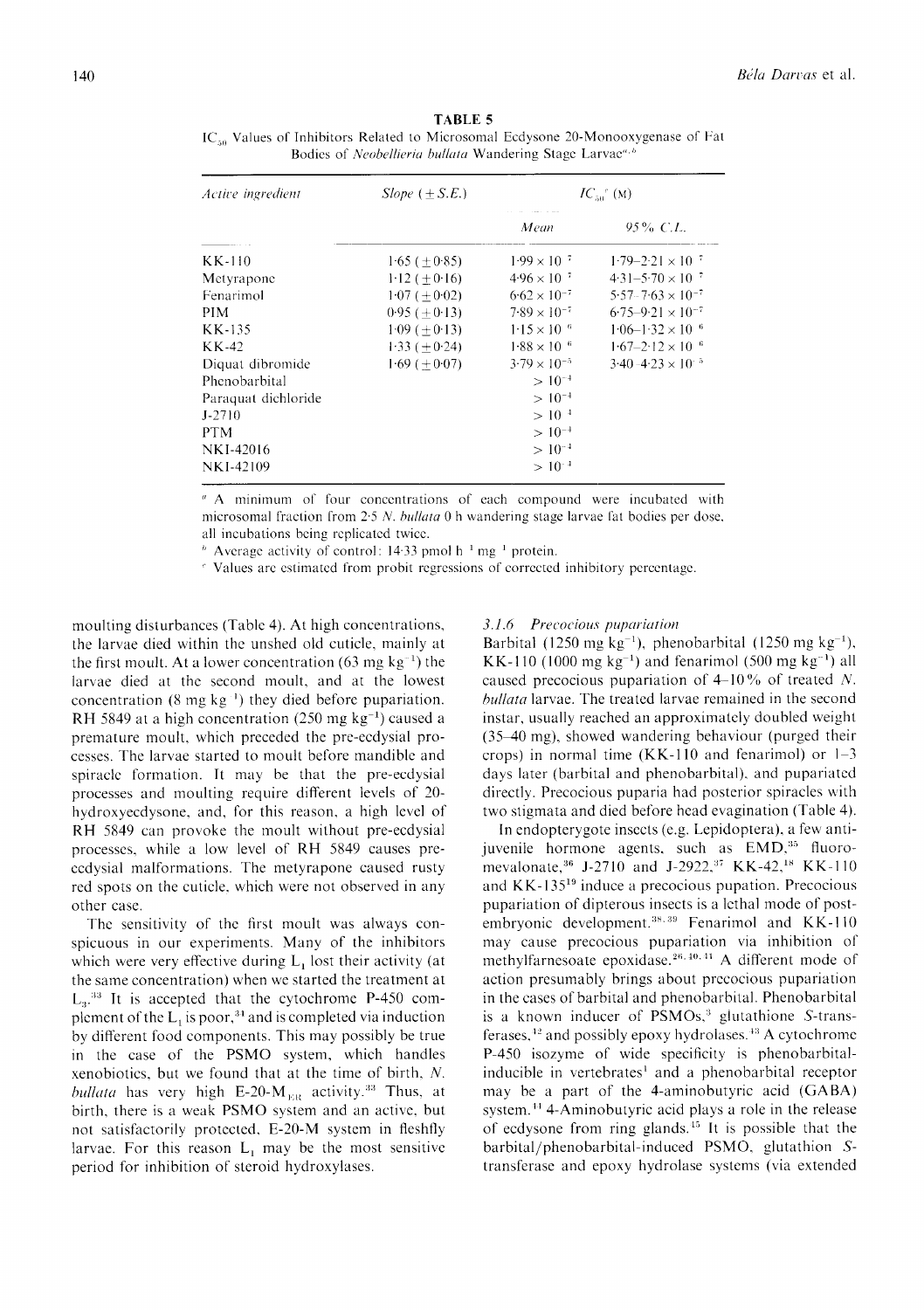| Active ingredient   | $Slope (+ S.E.)$ | $IC_{50}^{\prime\prime}(M)$ |                              |  |
|---------------------|------------------|-----------------------------|------------------------------|--|
|                     |                  | Mean                        | $95\%$ C.L.                  |  |
| KK-110              | $1.65 (+0.85)$   | $1.99 \times 10^{-7}$       | $1.79 - 2.21 \times 10^{-7}$ |  |
| Metyrapone          | $1-12 (+0.16)$   | $4.96 \times 10^{-7}$       | $4.31 - 5.70 \times 10^{-7}$ |  |
| Fenarimol           | $1.07 (+0.02)$   | $6.62 \times 10^{-7}$       | $5.57 - 7.63 \times 10^{-7}$ |  |
| PIM.                | $0.95 (+0.13)$   | $7.89 \times 10^{-7}$       | $6.75 - 9.21 \times 10^{-7}$ |  |
| KK-135              | $1.09 (+0.13)$   | $1.15 \times 10^{-6}$       | $1.06 - 1.32 \times 10^{-6}$ |  |
| KK-42               | $1.33 (+0.24)$   | $1.88 \times 10^{-6}$       | $1.67 - 2.12 \times 10^{-6}$ |  |
| Diquat dibromide    | $1.69 (+0.07)$   | $3.79 \times 10^{-5}$       | $3.40 - 4.23 \times 10^{-5}$ |  |
| Phenobarbital       |                  | $>10^{-4}$                  |                              |  |
| Paraquat dichloride |                  | $>10^{-4}$                  |                              |  |
| $J-2710$            |                  | $>10^{-4}$                  |                              |  |
| <b>PTM</b>          |                  | $>10^{-4}$                  |                              |  |
| NKI-42016           |                  | $>10^{-4}$                  |                              |  |
| NKI-42109           |                  | $>10^{-4}$                  |                              |  |

**TABLE 5** IC<sub>50</sub> Values of Inhibitors Related to Microsomal Ecdysone 20-Monooxygenase of Fat Bodies of Neobellieria bullata Wandering Stage Larvae<sup>a, b</sup>

" A minimum of four concentrations of each compound were incubated with microsomal fraction from 2.5 N. bullata 0 h wandering stage larvae fat bodies per dose, all incubations being replicated twice.

 $\frac{h}{r}$  Average activity of control: 14.33 pmol h<sup>-1</sup> mg<sup>-1</sup> protein.

<sup>e</sup> Values are estimated from probit regressions of corrected inhibitory percentage.

moulting disturbances (Table 4). At high concentrations, the larvae died within the unshed old cuticle, mainly at the first moult. At a lower concentration (63 mg  $kg^{-1}$ ) the larvae died at the second moult, and at the lowest concentration  $(8 \text{ mg kg}^{-1})$  they died before pupariation. RH 5849 at a high concentration (250 mg  $kg^{-1}$ ) caused a premature moult, which preceded the pre-ecdysial processes. The larvae started to moult before mandible and spiracle formation. It may be that the pre-ecdysial processes and moulting require different levels of 20hydroxyecdysone, and, for this reason, a high level of RH 5849 can provoke the moult without pre-ecdysial processes, while a low level of RH 5849 causes preecdysial malformations. The metyrapone caused rusty red spots on the cuticle, which were not observed in any other case.

The sensitivity of the first moult was always conspicuous in our experiments. Many of the inhibitors which were very effective during  $L_1$  lost their activity (at the same concentration) when we started the treatment at  $L<sub>3</sub>$ <sup>33</sup> It is accepted that the cytochrome P-450 complement of the  $L_1$  is poor,<sup>34</sup> and is completed via induction by different food components. This may possibly be true in the case of the PSMO system, which handles xenobiotics, but we found that at the time of birth, N. bullata has very high E-20- $M_{EB}$  activity.<sup>33</sup> Thus, at birth, there is a weak PSMO system and an active, but not satisfactorily protected, E-20-M system in fleshfly larvae. For this reason  $L_1$  may be the most sensitive period for inhibition of steroid hydroxylases.

#### 3.1.6 Precocious pupariation

Barbital (1250 mg kg<sup>-1</sup>), phenobarbital (1250 mg kg<sup>-1</sup>), KK-110 (1000 mg  $kg^{-1}$ ) and fenarimol (500 mg  $kg^{-1}$ ) all caused precocious pupariation of  $4-10\%$  of treated N. *bullata* larvae. The treated larvae remained in the second instar, usually reached an approximately doubled weight (35–40 mg), showed wandering behaviour (purged their crops) in normal time (KK-110 and fenarimol) or  $1-3$ days later (barbital and phenobarbital), and pupariated directly. Precocious puparia had posterior spiracles with two stigmata and died before head evagination (Table 4).

In endopterygote insects (e.g. Lepidoptera), a few antijuvenile hormone agents, such as EMD,<sup>35</sup> fluoromevalonate, 36 J-2710 and J-2922, 37 KK-42, 18 KK-110 and KK-135<sup>19</sup> induce a precocious pupation. Precocious pupariation of dipterous insects is a lethal mode of postembryonic development.<sup>38,39</sup> Fenarimol and KK-110 may cause precocious pupariation via inhibition of methylfarnesoate epoxidase.<sup>26, 40, 41</sup> A different mode of action presumably brings about precocious pupariation in the cases of barbital and phenobarbital. Phenobarbital is a known inducer of PSMOs,<sup>3</sup> glutathione S-transferases,<sup>42</sup> and possibly epoxy hydrolases.<sup>43</sup> A cytochrome P-450 isozyme of wide specificity is phenobarbitalinducible in vertebrates<sup>1</sup> and a phenobarbital receptor may be a part of the 4-aminobutyric acid (GABA) system.<sup>44</sup> 4-Aminobutyric acid plays a role in the release of ecdysone from ring glands.<sup>45</sup> It is possible that the barbital/phenobarbital-induced PSMO, glutathion Stransferase and epoxy hydrolase systems (via extended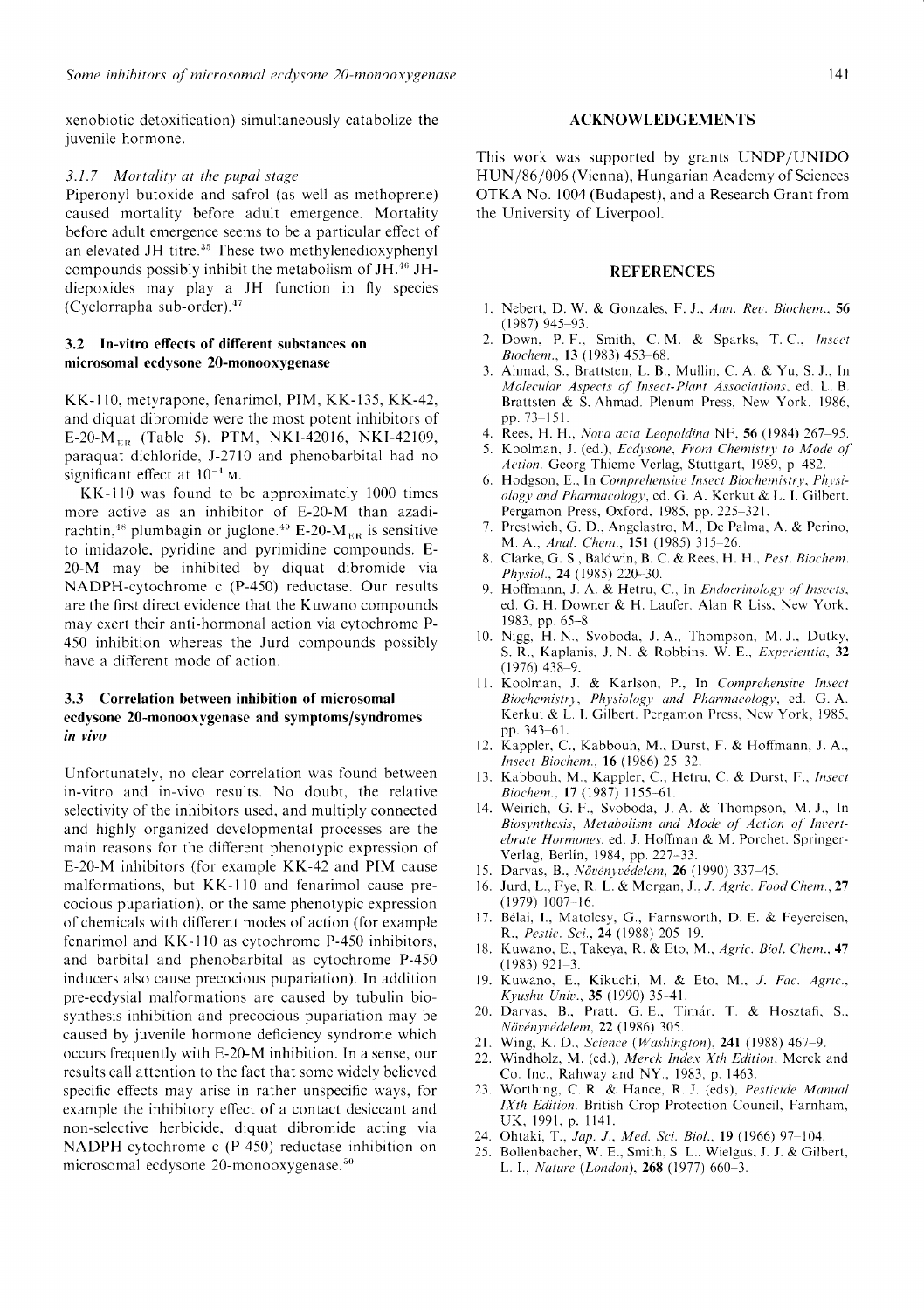xenobiotic detoxification) simultaneouslv catabolize the juvenile hormone.

#### $3.1.7$  Mortality at the pupal stage

Piperonyl butoxide and safrol (as well as methoprene) caused mortality before adult emergence. Mortality before adult emergence seems to be a particular effect of an elevated JH titre.<sup>35</sup> These two methylenedioxyphenyl compounds possibly inhibit the metabolism of JH.<sup>46</sup> JHdiepoxides may play a JH function in fly species (Cyclorrapha sub-order)."

# 3.2 In-vitro effects of different substances on microsomal ecdysone 20-monooxygenase

KK-l 10, metyrapone. fenarimol, PIM, KK-135, KK-42, and diquat dibromide were the most potent inhibitors of E-20- $M_{ER}$  (Table 5). PTM, NKI-42016, NKI-42109, paraquat dichloride, J-2110 and phenobarbital had no significant effect at  $10^{-4}$  M.

KK-110 was found to be approximately 1000 times more active as an inhibitor of E-20-M than azadirachtin,<sup>48</sup> plumbagin or juglone.<sup>49</sup> E-20-M<sub>ER</sub> is sensitive to imidazole, pyridine and pyrimidine compounds. E-20-M may be inhibited by diquat dibromide via NADPH-cytochrome c (P-450) reductase. Our results are the first direct evidence that the Kuwano compounds may exert their anti-hormonal action via cytochrome P-450 inhibition whereas the Jurd compounds possibly have a different mode of action.

# 3.3 Correlation between inhibition of microsomal ecdysone 20-monooxygenase and symptoms/syndromes in vivo

Unfortunately, no clear correlation was found between in-vitro and in-vivo results. No doubt. the relative selectivity of the inhibitors used, and multiply connected and highly organized dcvelopmental processes are the main reasons for the different phenotypic expression of E-20-M inhibitors (for example KK-42 and PIM cause malformations, but KK-110 and fenarimol cause precocious pupariation), or the same phenotypic expression of chemicals with different modes of action (for example fenarimol and KK-110 as cytochrome P-450 inhibitors, and barbital and phenobarbital as cytochrome P-450 inducers also cause precocious pupariation). ln addition pre-ecdysial malformations are caused by tubulin biosynthesis inhibition and precocious pupariation may be caused by juvenile hormone deficiency syndrome which occurs frequently with E-20-M inhibition. In a sense, our results call attention to the fact that some widely believed specific effects may arise in rather unspecific ways, for example the inhibitory effect of a contact desiceant and non-selective herbicide, diquat dibromide acting via NADPH-cytochrome c (P-450) reductase inhibition on microsomal ecdysone  $20$ -monooxygenase.<sup>50</sup>

#### ACKNOWLEDGEMENTS

This work was supported by grants UNDP/UNIDO HUN/86/006 (Vienna). Hungarian Academy of Sciences OTKA No. 1004 (Budapest), and a Research Grant from the University of Liverpool.

### REFERENCES

- 1. Nebert, D. W. & Gonzales, F. J., Ann. Rev. Biochem., 56 (1987) 945-93.
- 2. Down, P. F., Smith, C. M. & Sparks, T. C., Insect Biochem., 13 (1983) 453-68.
- 3. Ahmad, S., Brattstcn, L. B.. Mullin, C. A. & Yu. S. J.. In Molecular Aspects of Insect-Plant Associations, ed. L. B. Brattsten & S. Ahmad. Plenum Press. New York. 1986. pp.  $73 - 151$ .
- 4. Rees, H. H., Nova acta Leopoldina NF, 56 (1984) 267-95.
- 5. Koolman, J. (ed.), Ecdysone, From Chemistry to Mode of Action. Georg Thieme Verlag, Stuttgart, 1989, p. 482.
- 6. Hodgson, E., In Comprehensive Insect Biochemistry, Physiology and Pharmacology, ed. G. A. Kerkut & L. I. Gilbert. Pergamon Press, Oxford, 1985, pp. 225-321.
- 7. Prestwich. G. D., Angelastro. M., De Palrna. A. & Perino. M. A., Anal. Chem., 151 (1985) 315-26.
- 8. Clarke, G. S., Baldwin, B. C. & Rees, H. H., Pest. Biochem. Physiol., 24 (1985) 220-30.
- 9. Hoffmann, J. A. & Hetru, C., In Endocrinology of Insects, ed. G. H. Downer & H. Laufer. Alan R Liss. New York. 1983. pp. 65-8.
- 10. Nigg. H. N.. Svoboda. J. A.. Thompson, M. J.. Dutky. S. R., Kaplanis, J. N. & Robbins, W. E., Experientia, 32  $(1976)$  438-9.
- 11. Koolman, J. & Karlson, P., In Comprehensive Insect Biochemistry, Physiology and Pharmacology, ed. G.A. Kerkut & L. I. Gilbert. Pergamon Press, New York, 1985, pp. 343-61.
- 12. Kapplcr, C.. Kabbouh, M., Durst. F. & Hoffmann, J. A., Insect Biochem., 16 (1986) 25-32.
- 13. Kabbouh, M., Kappler, C., Hetru, C. & Durst, F., Insect Biochem., 17 (1987) 1155-61.
- 14. Weirich. G. F., Svoboda, J. A. & Thompson. M. J.. In Biosynthesis, Metabolism and Mode of Action of Invertebrate Hormones, ed. J. Hoffman & M. Porchet. Springer-Verlag. Berlin, 1984, pp.227-33.
- 15. Darvas, B., Növényvédelem, 26 (1990) 337-45.
- 16. Jurd, L., Fye, R. L. & Morgan, J., J. Agric. Food Chem., 27  $(1979) 1007 - 16.$
- 17. Bélai, I., Matolcsy, G., Farnsworth, D. E. & Feyereisen, R., Pestic. Sci., 24 (1988) 205-19.
- 18. Kuwano, E., Takeya, R. & Eto, M., Agric. Biol. Chem., 47  $(1983)$  921-3.
- 19. Kuwano, E., Kikuchi, M. & Eto, M., *J. Fac. Agric.*, Kyushu Univ., 35 (1990) 35-41.
- 20. Darvas, B., Pratt, G. E., Timár, T. & Hosztafi, S., Növényvédelem, 22 (1986) 305.
- 21. Wing, K. D., Science (Washington), 241 (1988) 467-9.
- 22. Windholz, M. (ed.), Merck Index Xth Edition. Merck and Co. Inc., Rahway and NY., 1983, p. 1463.
- 23. Worthing, C. R. & Hance, R. J. (eds), Pesticide Manual IXth Edition. British Crop Protection Council. Farnham, UK. 1991. p. ll4l.
- 24. Ohtaki, T., Jap. J., Med. Sci. Biol., 19 (1966) 97–104.
- 25. Bollenbacher, W. E., Smith, S. L., Wielgus, J. J. & Gilbert, L. I., Nature (London), 268 (1977) 660-3.